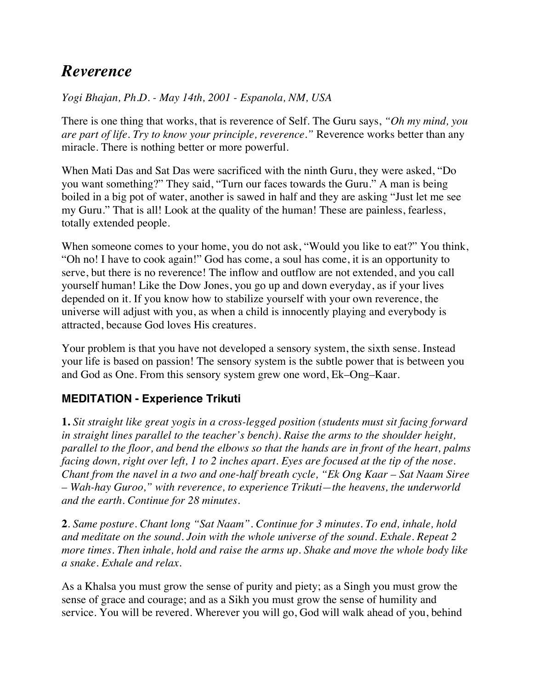## *Reverence*

*Yogi Bhajan, Ph.D. - May 14th, 2001 - Espanola, NM, USA* 

There is one thing that works, that is reverence of Self. The Guru says, *"Oh my mind, you are part of life. Try to know your principle, reverence."* Reverence works better than any miracle. There is nothing better or more powerful.

When Mati Das and Sat Das were sacrificed with the ninth Guru, they were asked, "Do you want something?" They said, "Turn our faces towards the Guru." A man is being boiled in a big pot of water, another is sawed in half and they are asking "Just let me see my Guru." That is all! Look at the quality of the human! These are painless, fearless, totally extended people.

When someone comes to your home, you do not ask, "Would you like to eat?" You think, "Oh no! I have to cook again!" God has come, a soul has come, it is an opportunity to serve, but there is no reverence! The inflow and outflow are not extended, and you call yourself human! Like the Dow Jones, you go up and down everyday, as if your lives depended on it. If you know how to stabilize yourself with your own reverence, the universe will adjust with you, as when a child is innocently playing and everybody is attracted, because God loves His creatures.

Your problem is that you have not developed a sensory system, the sixth sense. Instead your life is based on passion! The sensory system is the subtle power that is between you and God as One. From this sensory system grew one word, Ek–Ong–Kaar.

## **MEDITATION - Experience Trikuti**

**1.** *Sit straight like great yogis in a cross-legged position (students must sit facing forward in straight lines parallel to the teacher's bench). Raise the arms to the shoulder height, parallel to the floor, and bend the elbows so that the hands are in front of the heart, palms facing down, right over left, 1 to 2 inches apart. Eyes are focused at the tip of the nose. Chant from the navel in a two and one-half breath cycle, "Ek Ong Kaar – Sat Naam Siree – Wah-hay Guroo," with reverence, to experience Trikuti—the heavens, the underworld and the earth. Continue for 28 minutes.* 

**2***. Same posture. Chant long "Sat Naam". Continue for 3 minutes. To end, inhale, hold and meditate on the sound. Join with the whole universe of the sound. Exhale. Repeat 2 more times. Then inhale, hold and raise the arms up. Shake and move the whole body like a snake. Exhale and relax.* 

As a Khalsa you must grow the sense of purity and piety; as a Singh you must grow the sense of grace and courage; and as a Sikh you must grow the sense of humility and service. You will be revered. Wherever you will go, God will walk ahead of you, behind